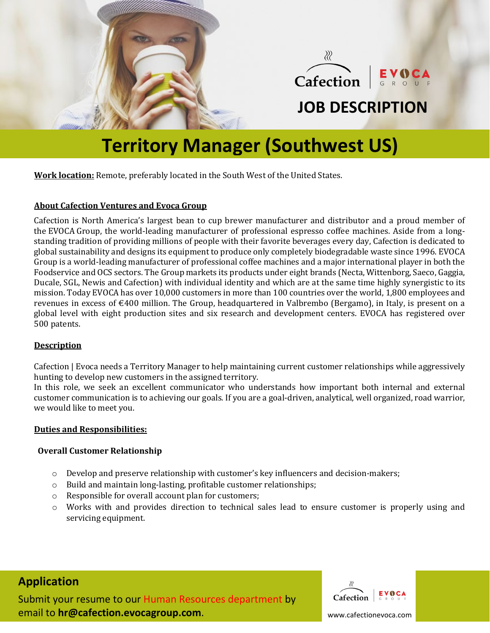



## **JOB DESCRIPTION**

## **Territory Manager (Southwest US)**

**Work location:** Remote, preferably located in the South West of the United States.

### **About Cafection Ventures and Evoca Group**

[Cafection](http://www.cafection.com/) is North America's largest bean to cup brewer manufacturer and distributor and a proud member of the [EVOCA](http://www.evocagroup.com/) Group, the world-leading manufacturer of professional espresso coffee machines. Aside from a longstanding tradition of providing millions of people with their favorite beverages every day, Cafection is dedicated to global sustainability and designs its equipment to produce only completely biodegradable waste since 1996. EVOCA Group is a world-leading manufacturer of professional coffee machines and a major international player in both the Foodservice and OCS sectors. The Group markets its products under eight brands (Necta, Wittenborg, Saeco, Gaggia, Ducale, SGL, Newis and Cafection) with individual identity and which are at the same time highly synergistic to its mission. Today EVOCA has over 10,000 customers in more than 100 countries over the world, 1,800 employees and revenues in excess of €400 million. The Group, headquartered in Valbrembo (Bergamo), in Italy, is present on a global level with eight production sites and six research and development centers. EVOCA has registered over 500 patents.

## **Description**

Cafection | Evoca needs a Territory Manager to help maintaining current customer relationships while aggressively hunting to develop new customers in the assigned territory.

In this role, we seek an excellent communicator who understands how important both internal and external customer communication is to achieving our goals. If you are a goal-driven, analytical, well organized, road warrior, we would like to meet you.

#### **Duties and Responsibilities:**

#### **Overall Customer Relationship**

- o Develop and preserve relationship with customer's key influencers and decision-makers;
- o Build and maintain long-lasting, profitable customer relationships;
- o Responsible for overall account plan for customers;
- o Works with and provides direction to technical sales lead to ensure customer is properly using and servicing equipment.

## **Application**

Submit your resume to our Human Resources department by email to **hr@cafection.evocagroup.com**.



www.cafectionevoca.com